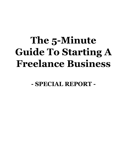## **The 5-Minute Guide To Starting A Freelance Business**

**- SPECIAL REPORT -**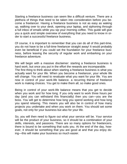Starting a freelance business can seem like a difficult venture. There are a plethora of things that need to be taken into consideration before you become a freelancer. Having a freelance business is not as easy as waking up, walking over to your desk, opening your laptop, and siphoning through a full inbox of emails while you sip your morning coffee. This guide will give you a quick and simple overview of everything that you need to know in order to start a successful freelance business.

Of course, it is important to remember that you can do all of this part-time, you do not have to be a full-time freelancer straight away! It would probably even be beneficial if you could set the foundation for your freelance business, before leaving the security of regular work and embarking on your freelance adventure.

We will begin with a massive disclaimer: starting a freelance business is hard work, but once you put in the effort the rewards are incomparable. The first thing to think about when starting a freelance business is what you actually want for your life. When you become a freelancer, your whole life will change. You will need to revaluate what you want for your life. You are now in control of your work-life balance. a recurring theme of freelance work is making choices. You get to make them all, so make good ones.

Being in control of your work-life balance means that you get to decide when you work and for how long. If you only want to work three hours per day (and you can withstand this financially) then you can—you are the boss. You will get to determine how long you spend working and how long you spend relaxing. This means you will also be in control of how many projects you undertake and when you work on them. You should set some goals, not only for your business but also for your life.

So, you will then need to figure out what your service will be. Your service will be the product of your business, so it should be a combination of your skills, interests, and passions. There are so many options for freelancers, there is bound to be something that suits you. At the end of the day, however, it should be something that you are good at and that you enjoy doing—this will make your business so much easier.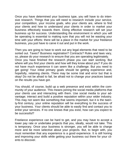Once you have determined your business type, you will have to do intensive research. Things that you will need to research include your service, your competition, your income goals, who your clients are, where to find your clients and how to understand your clients in order to market your business effectively towards them. Doing effective research will set your business up for success. Understanding the environment in which you will be operating is essential to making sure that you will not be wasting your time with your efforts: there will be a place in the market for your freelance business, you just have to carve it out and put in the work.

Then you are going to have to work out any legal elements that need to be sorted out. Taxes? Business registration? Contracts? Rules and laws vary, so, please do your research to ensure that you are operating legitimately. Once you have finished the research phase you can start working. But where will you find your clients and how will they know about you? If you do not have much experience it can seem like a challenge. But you need to get going! Your initial primary goals should be getting experience and, hopefully, retaining clients. There may be some trial and error but that is okay! Do not be afraid to fail, be afraid not to change your practices based on the results you have got.

You should, of course, build up a web presence and exist within the community of your audience. This means joining the social media platforms that your clients use and interacting with them. Use social media to your advantage; interact and build a positive reputation within your wider industry. This may not seem like something that seems important, but it is the twenty-first century, your online reputation will be everything to the success of your business. Your clients should be able to easily find and contact you to enlist your services. If no one knows that you exist, how can you expect to be successful?

Freelance experience can be hard to get, and you may have to accept a lower pay rate or undertake projects that you, ideally, would not take. This is temporary. Once your business is stronger, you will be able to charge more and be more selective about your projects. But, to begin with, you must remember that any experience is a good experience. It is still honing and improving your skills while getting your business out there for your clients to discover.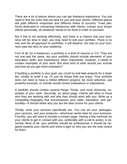There are a lot of places where you can get freelance experience. You just need to find the ones that are best for you and your clients. Different places will yield different responses and different levels of success. Trawl platforms dedicated to connecting freelancers with clients, contact your dream clients personally; do whatever needs to be done in order to succeed.

But if this is not working effectively, and there is a chance that your business will be slow to start, you may need to edit your portfolio. There is no one size fits all approach to portfolios. It will depend, not only on your business type but also on your audience.

First of all, for a freelancer, a portfolio is a kind of resume or CV. They are not one and the same, but your portfolio should include elements of your education, skills, and experiences. More importantly, however, it needs to contain examples of your work. But what kind of work should you include and how do you get more examples?

If building a portfolio is your goal, you could try and take projects for a lower fee, simply to build it up. Or just do things that you enjoy. Your portfolio does not need to have a million different projects; be more selective, use powerful excerpts, or include results-driven evaluations or expositions.

A portfolio should contain several things. Firstly, and most obviously, examples of your work. Secondly, an about page. Clients will what to know who they are working with and why they should work with you. Write up a compelling biography that encompasses your skills, education, and personality—it should share why you are the best choice for your clients.

Thirdly, what your services specifically are. You can list your packages, your services, and your products—whichever works best for your business. Fourthly, you will need to include a contact page. Having a few methods for your clients to get in contact with you, preferably with a call to action, is essential. Most of all, your portfolio should be professional; it should be targeted towards your clients and shine a light on why you are the only choice for them.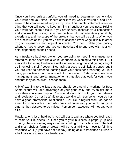Once you have built a portfolio, you will need to determine how to value your work and your time. Repeat after me: my work is valuable, and I deserve to be compensated fairly for my time. This simple statement is something that you will need to keep in mind throughout your business. Pricing your work can seem difficult. If you are unsure, research your competition and analyze their pricing. You need to take into consideration your skills, experience, and the scope of the projects that you will be doing. When you are a new freelancer, you may have to accept a lower wage initially in order to gain experience and appeal to clients. You can update your pricing whenever you choose, and you can negotiate different rates with your clients, depending on their needs.

As a freelance business owner, you are going to need time management strategies. It can seem like a weird, or superfluous, thing to think about. But a mistake too many freelancers make is overlooking this and getting caught up in enjoying their freedom. Not having a boss is definitely a bonus, but if you are used to someone looming over your shoulder pressuring you into being productive it can be a shock to the system. Determine some time management, and project management strategies that work for you. If you find that they do not work, change them.

A brief warning to the fact that you should be careful of working for free. Some clients will take advantage of your generosity and try to get more work than you agreed upon. You should stand firm with your boundaries and revaluate. Do not be afraid to stop working with someone if you do not have a good professional relationship. Just like in regular work, do not be afraid to cut ties with a client who does not value you, your work, and your time as they deserve to be valued. Remember, exposure will not pay your bills.

Finally, after a lot of hard work, you will get to a phase where you feel ready to scale your business up. Once you're your business is properly up and running, there are many ways that you could grow your business. The first and most obvious form of growth will be your ability to move to full-time freelance work (if you have not already). Being able to freelance full-time is a hallmark of success for a freelancer.